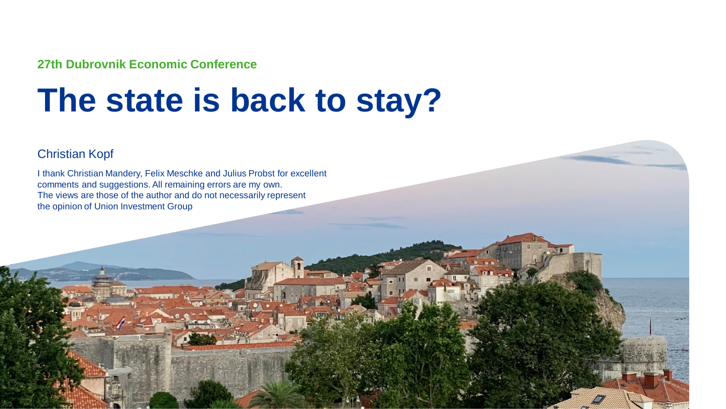**27th Dubrovnik Economic Conference**

# **The state is back to stay?**

#### Christian Kopf

I thank Christian Mandery, Felix Meschke and Julius Probst for excellent comments and suggestions. All remaining errors are my own. The views are those of the author and do not necessarily represent the opinion of Union Investment Group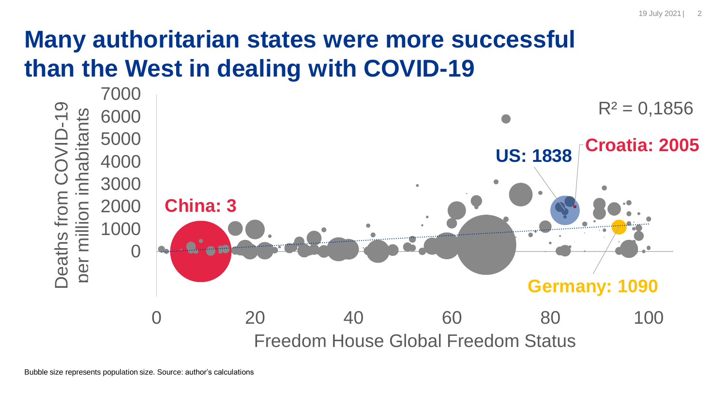## **Many authoritarian states were more successful than the West in dealing with COVID-19**

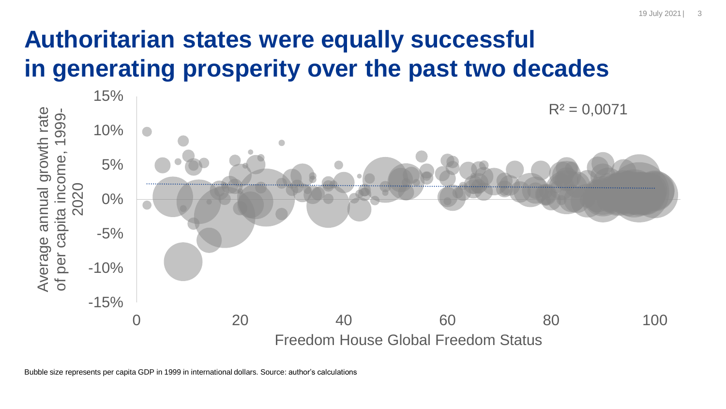#### 19 July 2021 | 3

## **Authoritarian states were equally successful in generating prosperity over the past two decades**

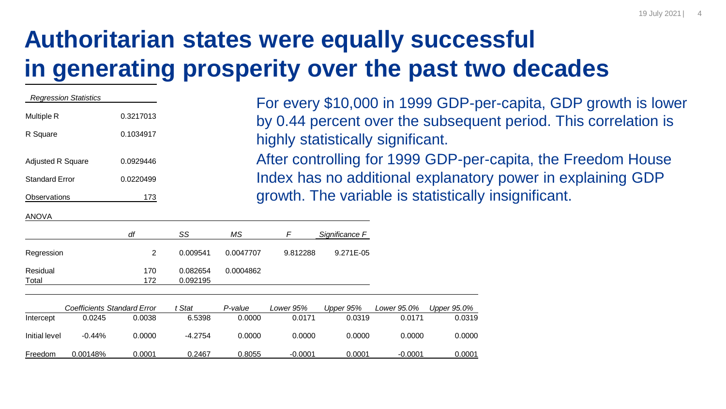# **Authoritarian states were equally successful in generating prosperity over the past two decades**

| <b>Regression Statistics</b> |           | For every \$10,000 in 1999 GDP-per-capita, GDP growth is lower  |
|------------------------------|-----------|-----------------------------------------------------------------|
| Multiple R                   | 0.3217013 | by 0.44 percent over the subsequent period. This correlation is |
| R Square                     | 0.1034917 | highly statistically significant.                               |
| <b>Adjusted R Square</b>     | 0.0929446 | After controlling for 1999 GDP-per-capita, the Freedom House    |
| <b>Standard Error</b>        | 0.0220499 | Index has no additional explanatory power in explaining GDP     |
| Observations                 | 173       | growth. The variable is statistically insignificant.            |

#### ANOVA

|                   | df         | SS                   | ΜS        | F        | Significance F |
|-------------------|------------|----------------------|-----------|----------|----------------|
| Regression        |            | 0.009541             | 0.0047707 | 9.812288 | 9.271E-05      |
| Residual<br>Total | 170<br>172 | 0.082654<br>0.092195 | 0.0004862 |          |                |

|               | Coefficients Standard Error |        | Stat      | P-value | Lower 95% | Upper 95% | Lower 95.0% | Upper 95.0% |
|---------------|-----------------------------|--------|-----------|---------|-----------|-----------|-------------|-------------|
| Intercept     | 0.0245                      | 0.0038 | 6.5398    | 0.0000  | 0.0171    | 0.0319    | 0.0171      | 0.0319      |
| Initial level | $-0.44%$                    | 0.0000 | $-4.2754$ | 0.0000  | 0.0000    | 0.0000    | 0.0000      | 0.0000      |
| Freedom       | 0.00148%                    | 0.0001 | 0.2467    | 0.8055  | $-0.0001$ | 0.0001    | -0.0001     | 0.0001      |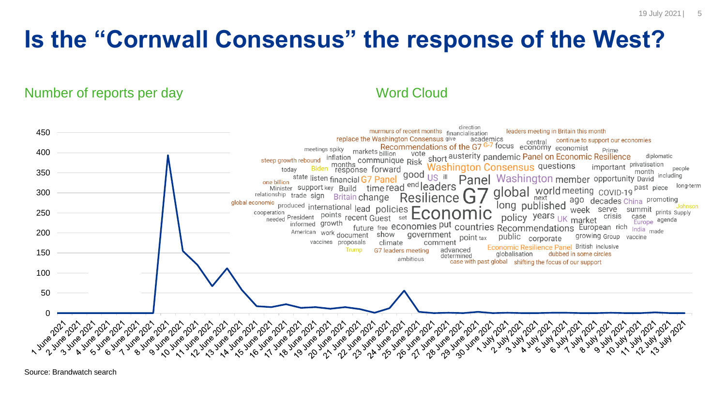## **Is the "Cornwall Consensus" the response of the West?**

Number of reports per day Number of reports per day



Source: Brandwatch search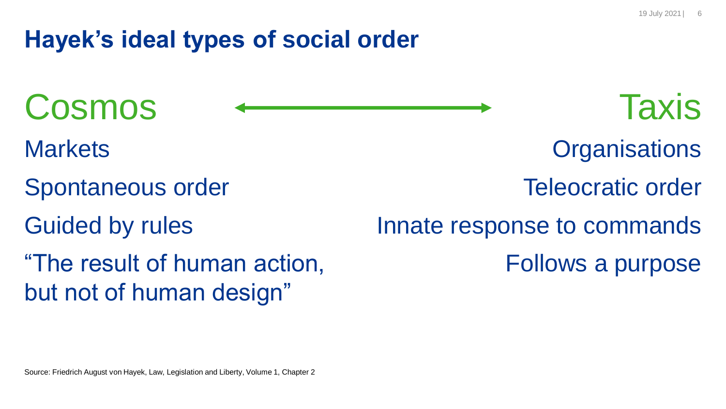**Organisations** 

Teleocratic order

### **Hayek's ideal types of social order**

- Cosmos Cosmos Taxis
- **Markets**
- Spontaneous order
- Guided by rules
- "The result of human action, but not of human design"

Innate response to commands Follows a purpose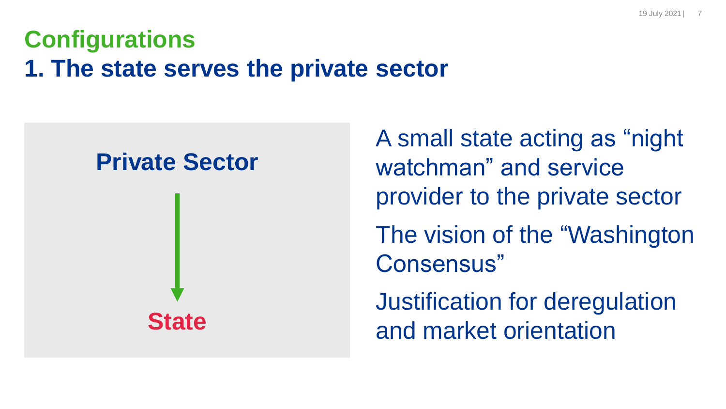## **Configurations 1. The state serves the private sector**

#### **Private Sector**



A small state acting as "night watchman" and service provider to the private sector The vision of the "Washington Consensus" Justification for deregulation and market orientation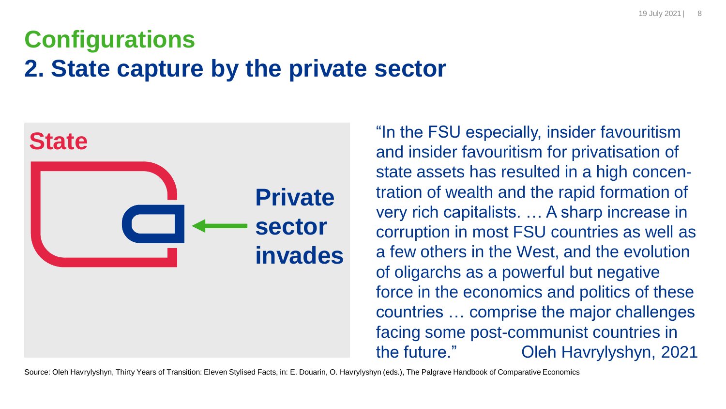## **Configurations 2. State capture by the private sector**



"In the FSU especially, insider favouritism and insider favouritism for privatisation of state assets has resulted in a high concentration of wealth and the rapid formation of very rich capitalists. … A sharp increase in corruption in most FSU countries as well as a few others in the West, and the evolution of oligarchs as a powerful but negative force in the economics and politics of these countries … comprise the major challenges facing some post-communist countries in the future." Oleh Havrylyshyn, 2021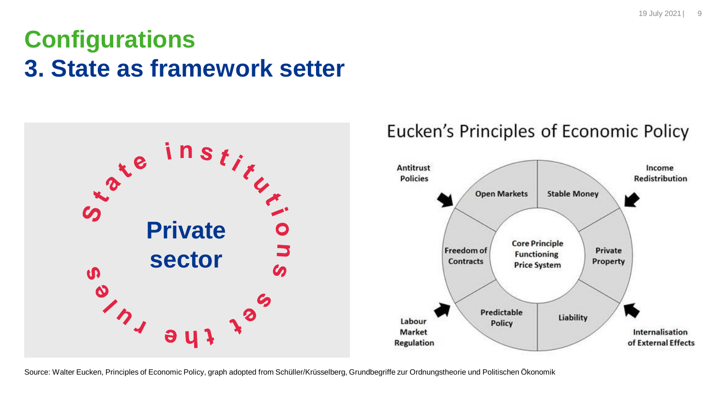#### **Configurations 3. State as framework setter**



#### Eucken's Principles of Economic Policy



Source: Walter Eucken, Principles of Economic Policy, graph adopted from Schüller/Krüsselberg, Grundbegriffe zur Ordnungstheorie und Politischen Ökonomik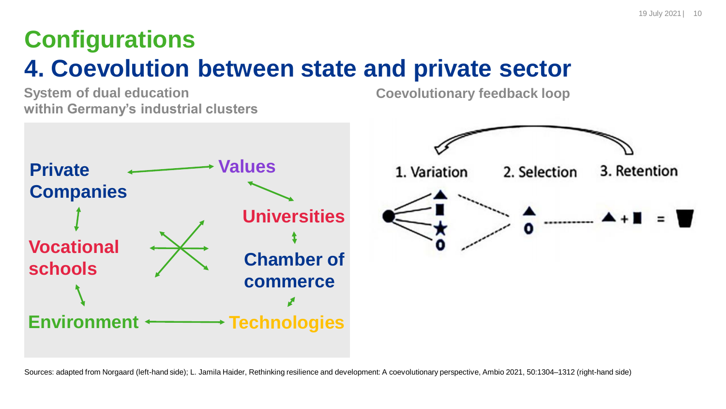# **Configurations 4. Coevolution between state and private sector**

**System of dual education within Germany's industrial clusters** **Coevolutionary feedback loop**



Sources: adapted from Norgaard (left-hand side); L. Jamila Haider, Rethinking resilience and development: A coevolutionary perspective, Ambio 2021, 50:1304–1312 (right-hand side)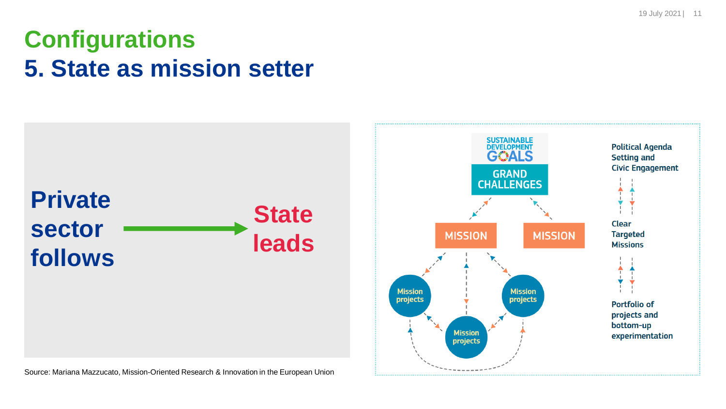**Configurations 5. State as mission setter**



Source: Mariana Mazzucato, Mission-Oriented Research & Innovation in the European Union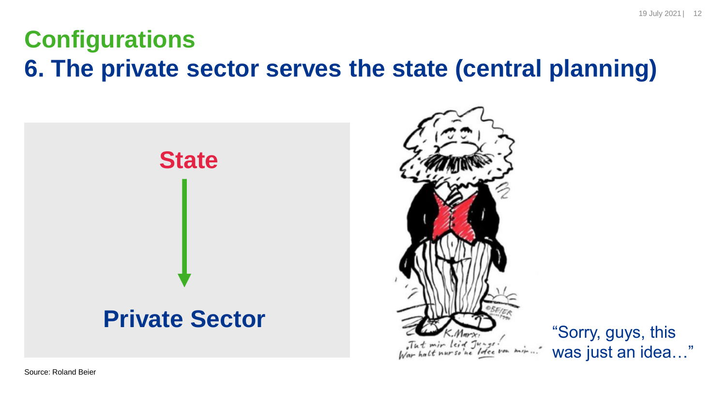#### **Configurations 6. The private sector serves the state (central planning)**





was just an idea…"

19 July 2021 | 12

Source: Roland Beier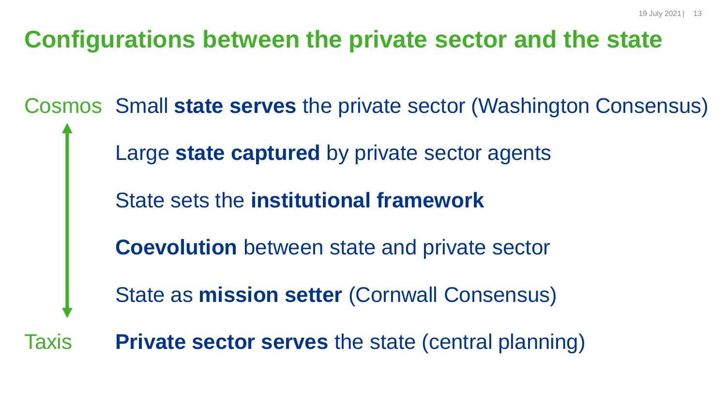#### **Configurations between the private sector and the state**

Cosmos Small **state serves** the private sector (Washington Consensus) Large **state captured** by private sector agents State sets the **institutional framework Coevolution** between state and private sector State as **mission setter** (Cornwall Consensus) Taxis **Private sector serves** the state (central planning)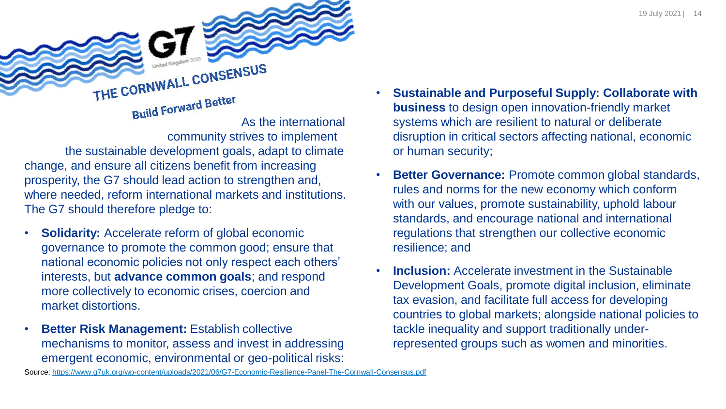THE CORNWALL CONSENSUS **Build Forward Better** As the international community strives to implement

the sustainable development goals, adapt to climate change, and ensure all citizens benefit from increasing prosperity, the G7 should lead action to strengthen and, where needed, reform international markets and institutions. The G7 should therefore pledge to:

- **Solidarity:** Accelerate reform of global economic governance to promote the common good; ensure that national economic policies not only respect each others' interests, but **advance common goals**; and respond more collectively to economic crises, coercion and market distortions.
- **Better Risk Management:** Establish collective mechanisms to monitor, assess and invest in addressing emergent economic, environmental or geo-political risks:
- **Sustainable and Purposeful Supply: Collaborate with business** to design open innovation-friendly market systems which are resilient to natural or deliberate disruption in critical sectors affecting national, economic or human security;
- **Better Governance:** Promote common global standards, rules and norms for the new economy which conform with our values, promote sustainability, uphold labour standards, and encourage national and international regulations that strengthen our collective economic resilience; and
- **Inclusion:** Accelerate investment in the Sustainable Development Goals, promote digital inclusion, eliminate tax evasion, and facilitate full access for developing countries to global markets; alongside national policies to tackle inequality and support traditionally underrepresented groups such as women and minorities.

Source:<https://www.g7uk.org/wp-content/uploads/2021/06/G7-Economic-Resilience-Panel-The-Cornwall-Consensus.pdf>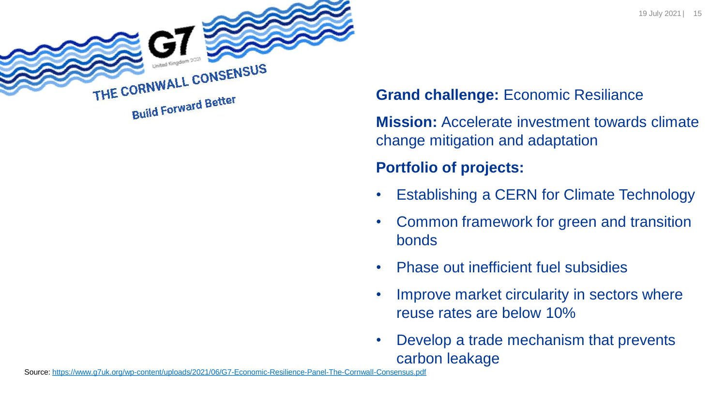



#### **Grand challenge:** Economic Resiliance

**Mission:** Accelerate investment towards climate change mitigation and adaptation

#### **Portfolio of projects:**

- Establishing a CERN for Climate Technology
- Common framework for green and transition bonds
- Phase out inefficient fuel subsidies
- Improve market circularity in sectors where reuse rates are below 10%
- Develop a trade mechanism that prevents carbon leakage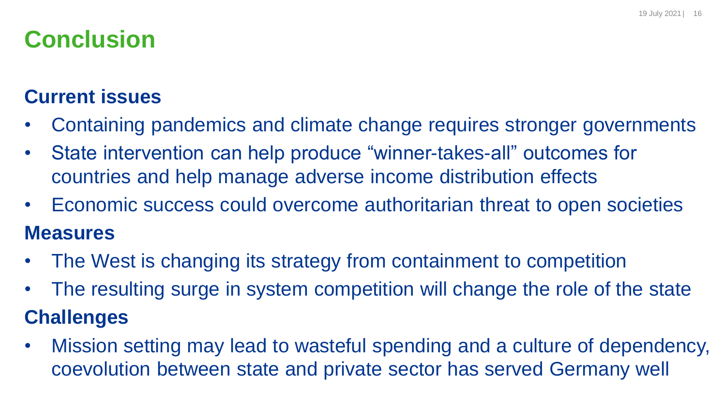## **Conclusion**

#### **Current issues**

- Containing pandemics and climate change requires stronger governments
- State intervention can help produce "winner-takes-all" outcomes for countries and help manage adverse income distribution effects
- Economic success could overcome authoritarian threat to open societies **Measures**
- The West is changing its strategy from containment to competition
- The resulting surge in system competition will change the role of the state **Challenges**
- Mission setting may lead to wasteful spending and a culture of dependency, coevolution between state and private sector has served Germany well